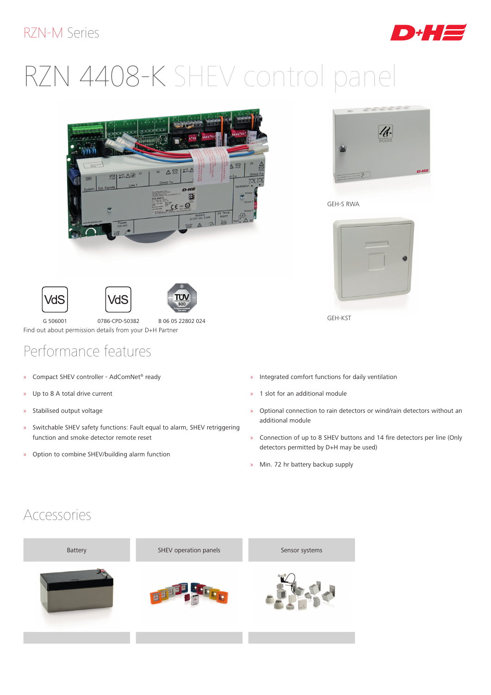#### RZN-M Series



# RZN 4408-K SHEV control panel



ח"ת





G 506001 0786-CPD-50382 B 06 05 22802 024 Find out about permission details from your D+H Partner

## Performance features

- » Compact SHEV controller AdComNet® ready
- » Up to 8 A total drive current
- » Stabilised output voltage
- » Switchable SHEV safety functions: Fault equal to alarm, SHEV retriggering function and smoke detector remote reset
- » Option to combine SHEV/building alarm function



GEH-S RWA



GEH-KST

- » Integrated comfort functions for daily ventilation
- » 1 slot for an additional module
- » Optional connection to rain detectors or wind/rain detectors without an additional module
- » Connection of up to 8 SHEV buttons and 14 fire detectors per line (Only detectors permitted by D+H may be used)
- » Min. 72 hr battery backup supply

#### Accessories